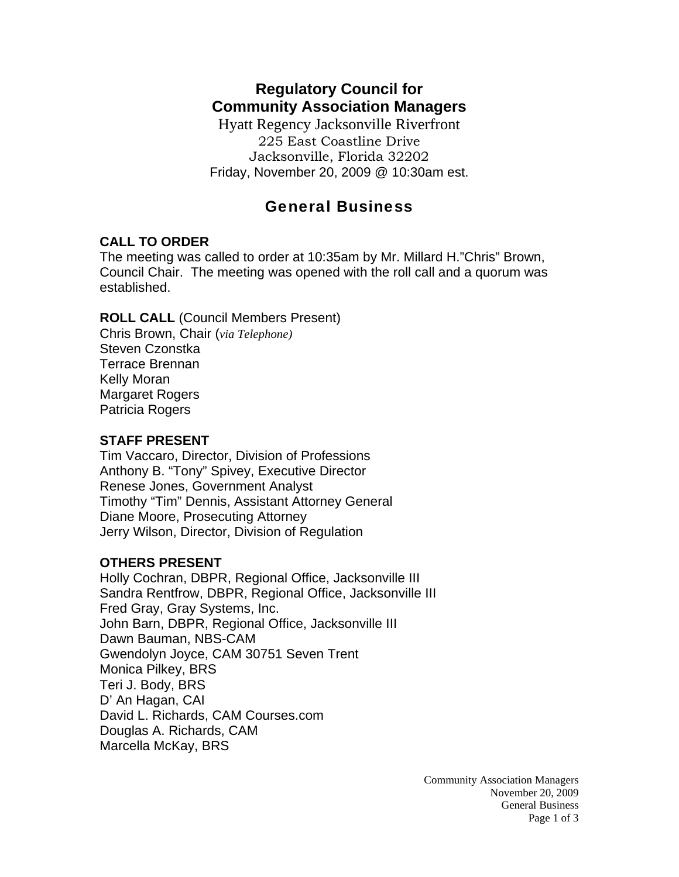# **Regulatory Council for Community Association Managers**

Hyatt Regency Jacksonville Riverfront 225 East Coastline Drive Jacksonville, Florida 32202 Friday, November 20, 2009 @ 10:30am est.

## General Business

### **CALL TO ORDER**

The meeting was called to order at 10:35am by Mr. Millard H."Chris" Brown, Council Chair. The meeting was opened with the roll call and a quorum was established.

### **ROLL CALL** (Council Members Present)

Chris Brown, Chair (*via Telephone)* Steven Czonstka Terrace Brennan Kelly Moran Margaret Rogers Patricia Rogers

### **STAFF PRESENT**

Tim Vaccaro, Director, Division of Professions Anthony B. "Tony" Spivey, Executive Director Renese Jones, Government Analyst Timothy "Tim" Dennis, Assistant Attorney General Diane Moore, Prosecuting Attorney Jerry Wilson, Director, Division of Regulation

### **OTHERS PRESENT**

Holly Cochran, DBPR, Regional Office, Jacksonville III Sandra Rentfrow, DBPR, Regional Office, Jacksonville III Fred Gray, Gray Systems, Inc. John Barn, DBPR, Regional Office, Jacksonville III Dawn Bauman, NBS-CAM Gwendolyn Joyce, CAM 30751 Seven Trent Monica Pilkey, BRS Teri J. Body, BRS D' An Hagan, CAI David L. Richards, CAM Courses.com Douglas A. Richards, CAM Marcella McKay, BRS

> Community Association Managers November 20, 2009 General Business Page 1 of 3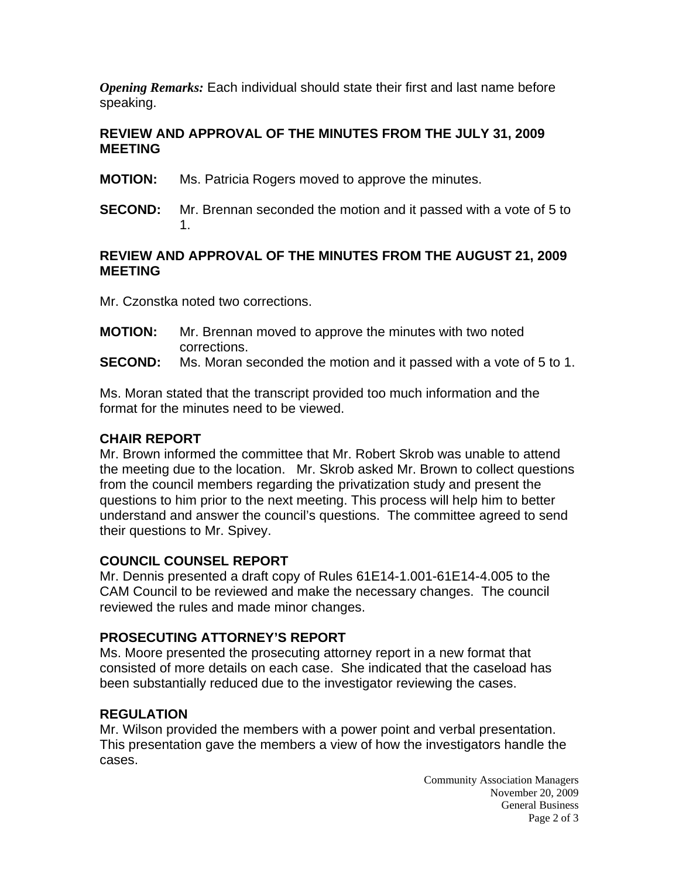*Opening Remarks:* Each individual should state their first and last name before speaking.

### **REVIEW AND APPROVAL OF THE MINUTES FROM THE JULY 31, 2009 MEETING**

- **MOTION:** Ms. Patricia Rogers moved to approve the minutes.
- **SECOND:** Mr. Brennan seconded the motion and it passed with a vote of 5 to 1.

### **REVIEW AND APPROVAL OF THE MINUTES FROM THE AUGUST 21, 2009 MEETING**

Mr. Czonstka noted two corrections.

- **MOTION:** Mr. Brennan moved to approve the minutes with two noted corrections.
- **SECOND:** Ms. Moran seconded the motion and it passed with a vote of 5 to 1.

Ms. Moran stated that the transcript provided too much information and the format for the minutes need to be viewed.

#### **CHAIR REPORT**

Mr. Brown informed the committee that Mr. Robert Skrob was unable to attend the meeting due to the location. Mr. Skrob asked Mr. Brown to collect questions from the council members regarding the privatization study and present the questions to him prior to the next meeting. This process will help him to better understand and answer the council's questions. The committee agreed to send their questions to Mr. Spivey.

### **COUNCIL COUNSEL REPORT**

Mr. Dennis presented a draft copy of Rules 61E14-1.001-61E14-4.005 to the CAM Council to be reviewed and make the necessary changes. The council reviewed the rules and made minor changes.

### **PROSECUTING ATTORNEY'S REPORT**

Ms. Moore presented the prosecuting attorney report in a new format that consisted of more details on each case. She indicated that the caseload has been substantially reduced due to the investigator reviewing the cases.

### **REGULATION**

Mr. Wilson provided the members with a power point and verbal presentation. This presentation gave the members a view of how the investigators handle the cases.